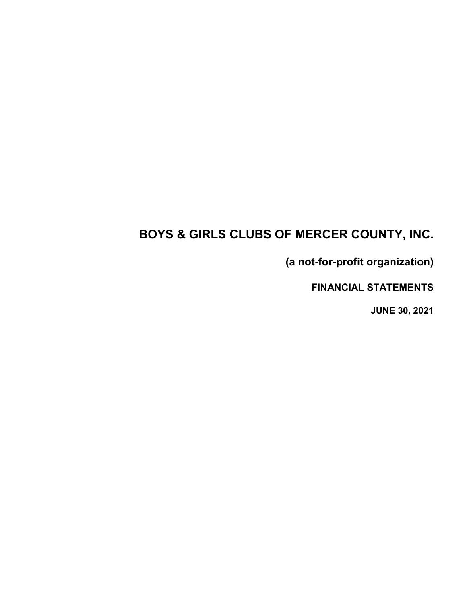# **BOYS & GIRLS CLUBS OF MERCER COUNTY, INC.**

**(a not-for-profit organization)**

**FINANCIAL STATEMENTS**

**JUNE 30, 2021**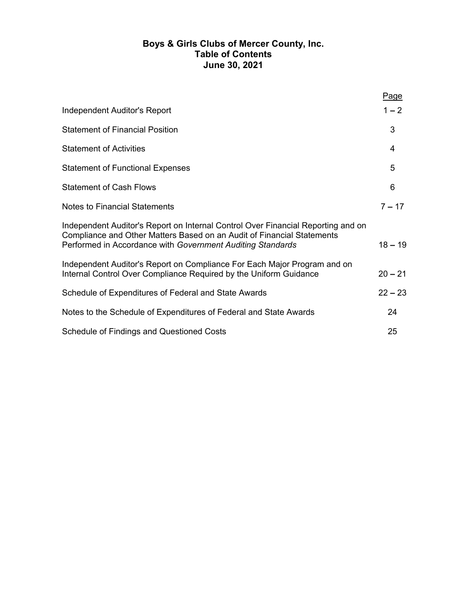## **Boys & Girls Clubs of Mercer County, Inc. Table of Contents June 30, 2021**

|                                                                                                                                                                                                                          | Page      |
|--------------------------------------------------------------------------------------------------------------------------------------------------------------------------------------------------------------------------|-----------|
| <b>Independent Auditor's Report</b>                                                                                                                                                                                      | $1 - 2$   |
| <b>Statement of Financial Position</b>                                                                                                                                                                                   | 3         |
| <b>Statement of Activities</b>                                                                                                                                                                                           | 4         |
| <b>Statement of Functional Expenses</b>                                                                                                                                                                                  | 5         |
| <b>Statement of Cash Flows</b>                                                                                                                                                                                           | 6         |
| <b>Notes to Financial Statements</b>                                                                                                                                                                                     | $7 - 17$  |
| Independent Auditor's Report on Internal Control Over Financial Reporting and on<br>Compliance and Other Matters Based on an Audit of Financial Statements<br>Performed in Accordance with Government Auditing Standards | $18 - 19$ |
| Independent Auditor's Report on Compliance For Each Major Program and on<br>Internal Control Over Compliance Required by the Uniform Guidance                                                                            | $20 - 21$ |
| Schedule of Expenditures of Federal and State Awards                                                                                                                                                                     | $22 - 23$ |
| Notes to the Schedule of Expenditures of Federal and State Awards                                                                                                                                                        | 24        |
| <b>Schedule of Findings and Questioned Costs</b>                                                                                                                                                                         | 25        |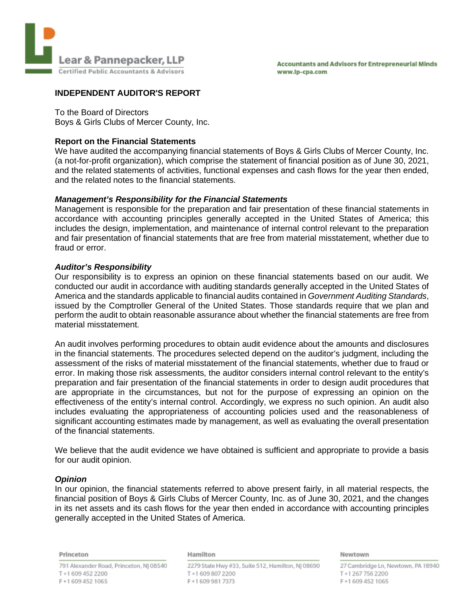

## **INDEPENDENT AUDITOR'S REPORT**

To the Board of Directors

Boys & Girls Clubs of Mercer County, Inc.

## **Report on the Financial Statements**

We have audited the accompanying financial statements of Boys & Girls Clubs of Mercer County, Inc. (a not-for-profit organization), which comprise the statement of financial position as of June 30, 2021, and the related statements of activities, functional expenses and cash flows for the year then ended, and the related notes to the financial statements.

## *Management's Responsibility for the Financial Statements*

Management is responsible for the preparation and fair presentation of these financial statements in accordance with accounting principles generally accepted in the United States of America; this includes the design, implementation, and maintenance of internal control relevant to the preparation and fair presentation of financial statements that are free from material misstatement, whether due to fraud or error.

## *Auditor's Responsibility*

Our responsibility is to express an opinion on these financial statements based on our audit. We conducted our audit in accordance with auditing standards generally accepted in the United States of America and the standards applicable to financial audits contained in *Government Auditing Standards*, issued by the Comptroller General of the United States. Those standards require that we plan and perform the audit to obtain reasonable assurance about whether the financial statements are free from material misstatement.

An audit involves performing procedures to obtain audit evidence about the amounts and disclosures in the financial statements. The procedures selected depend on the auditor's judgment, including the assessment of the risks of material misstatement of the financial statements, whether due to fraud or error. In making those risk assessments, the auditor considers internal control relevant to the entity's preparation and fair presentation of the financial statements in order to design audit procedures that are appropriate in the circumstances, but not for the purpose of expressing an opinion on the effectiveness of the entity's internal control. Accordingly, we express no such opinion. An audit also includes evaluating the appropriateness of accounting policies used and the reasonableness of significant accounting estimates made by management, as well as evaluating the overall presentation of the financial statements.

We believe that the audit evidence we have obtained is sufficient and appropriate to provide a basis for our audit opinion.

## *Opinion*

In our opinion, the financial statements referred to above present fairly, in all material respects, the financial position of Boys & Girls Clubs of Mercer County, Inc. as of June 30, 2021, and the changes in its net assets and its cash flows for the year then ended in accordance with accounting principles generally accepted in the United States of America.

Princeton

#### Hamilton

791 Alexander Road, Princeton, NJ 08540 T+16094522200 F+16094521065

2279 State Hwy #33, Suite 512, Hamilton, NJ 08690 T+16098072200 F+16099817373

Newtown

27 Cambridge Ln, Newtown, PA 18940 T+12677562200 F+16094521065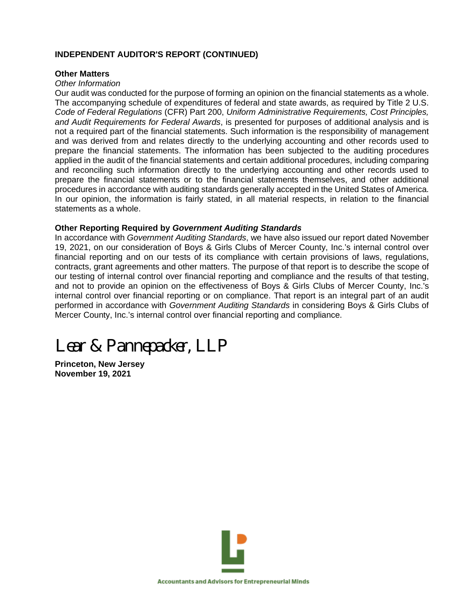## **INDEPENDENT AUDITOR'S REPORT (CONTINUED)**

## **Other Matters**

#### *Other Information*

Our audit was conducted for the purpose of forming an opinion on the financial statements as a whole. The accompanying schedule of expenditures of federal and state awards, as required by Title 2 U.S. *Code of Federal Regulations* (CFR) Part 200, *Uniform Administrative Requirements, Cost Principles, and Audit Requirements for Federal Awards*, is presented for purposes of additional analysis and is not a required part of the financial statements. Such information is the responsibility of management and was derived from and relates directly to the underlying accounting and other records used to prepare the financial statements. The information has been subjected to the auditing procedures applied in the audit of the financial statements and certain additional procedures, including comparing and reconciling such information directly to the underlying accounting and other records used to prepare the financial statements or to the financial statements themselves, and other additional procedures in accordance with auditing standards generally accepted in the United States of America. In our opinion, the information is fairly stated, in all material respects, in relation to the financial statements as a whole.

## **Other Reporting Required by** *Government Auditing Standards*

In accordance with *Government Auditing Standards*, we have also issued our report dated November 19, 2021, on our consideration of Boys & Girls Clubs of Mercer County, Inc.'s internal control over financial reporting and on our tests of its compliance with certain provisions of laws, regulations, contracts, grant agreements and other matters. The purpose of that report is to describe the scope of our testing of internal control over financial reporting and compliance and the results of that testing, and not to provide an opinion on the effectiveness of Boys & Girls Clubs of Mercer County, Inc.'s internal control over financial reporting or on compliance. That report is an integral part of an audit performed in accordance with *Government Auditing Standards* in considering Boys & Girls Clubs of Mercer County, Inc.'s internal control over financial reporting and compliance.

# *Lear & Pannepacker, LLP*

**Princeton, New Jersey November 19, 2021**

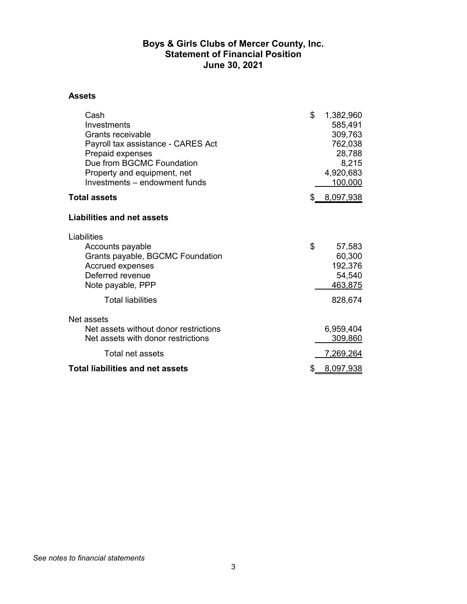## **Boys & Girls Clubs of Mercer County, Inc. Statement of Financial Position June 30, 2021**

#### **Assets**

| Cash<br>Investments<br>Grants receivable<br>Payroll tax assistance - CARES Act<br>Prepaid expenses<br>Due from BGCMC Foundation<br>Property and equipment, net<br>Investments - endowment funds | \$<br>1,382,960<br>585,491<br>309,763<br>762,038<br>28,788<br>8,215<br>4,920,683<br>100,000 |
|-------------------------------------------------------------------------------------------------------------------------------------------------------------------------------------------------|---------------------------------------------------------------------------------------------|
| <b>Total assets</b>                                                                                                                                                                             | 8,097,938                                                                                   |
| <b>Liabilities and net assets</b>                                                                                                                                                               |                                                                                             |
| Liabilities<br>Accounts payable<br>Grants payable, BGCMC Foundation<br><b>Accrued expenses</b><br>Deferred revenue<br>Note payable, PPP<br><b>Total liabilities</b>                             | \$<br>57,583<br>60,300<br>192,376<br>54,540<br>463,875<br>828,674                           |
| Net assets<br>Net assets without donor restrictions<br>Net assets with donor restrictions                                                                                                       | 6,959,404<br>309,860                                                                        |
| Total net assets                                                                                                                                                                                | <u>7,269,264</u>                                                                            |
| <b>Total liabilities and net assets</b>                                                                                                                                                         | <u>8,097,938</u>                                                                            |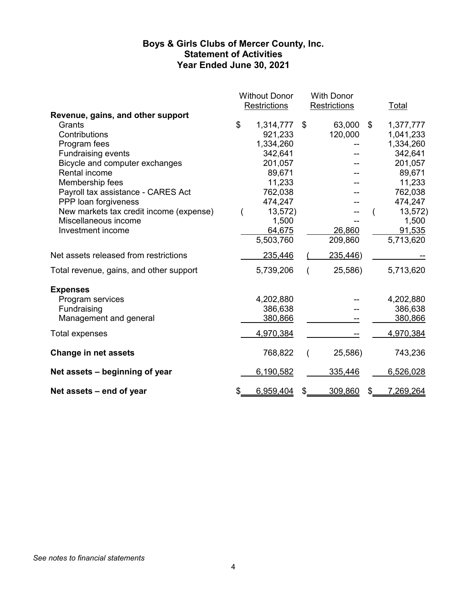## **Boys & Girls Clubs of Mercer County, Inc. Statement of Activities Year Ended June 30, 2021**

|                                         | <b>Without Donor</b> | <b>With Donor</b>   |                 |
|-----------------------------------------|----------------------|---------------------|-----------------|
| Revenue, gains, and other support       | <b>Restrictions</b>  | <b>Restrictions</b> | <b>Total</b>    |
| Grants                                  | \$<br>1,314,777      | \$<br>63,000        | \$<br>1,377,777 |
| Contributions                           | 921,233              | 120,000             | 1,041,233       |
| Program fees                            | 1,334,260            |                     | 1,334,260       |
| <b>Fundraising events</b>               | 342,641              |                     | 342,641         |
| Bicycle and computer exchanges          | 201,057              |                     | 201,057         |
| Rental income                           | 89,671               |                     | 89,671          |
| Membership fees                         | 11,233               |                     | 11,233          |
| Payroll tax assistance - CARES Act      | 762,038              |                     | 762,038         |
| PPP loan forgiveness                    | 474,247              |                     | 474,247         |
| New markets tax credit income (expense) | 13,572)              |                     | 13,572)         |
| Miscellaneous income                    | 1,500                |                     | 1,500           |
| Investment income                       | 64,675               | 26,860              | 91,535          |
|                                         | 5,503,760            | 209,860             | 5,713,620       |
| Net assets released from restrictions   | 235,446              | 235,446)            |                 |
| Total revenue, gains, and other support | 5,739,206            | 25,586)             | 5,713,620       |
| <b>Expenses</b>                         |                      |                     |                 |
| Program services                        | 4,202,880            |                     | 4,202,880       |
| Fundraising                             | 386,638              |                     | 386,638         |
| Management and general                  | 380,866              |                     | 380,866         |
| <b>Total expenses</b>                   | 4,970,384            |                     | 4,970,384       |
| <b>Change in net assets</b>             | 768,822              | 25,586)             | 743,236         |
| Net assets – beginning of year          | 6,190,582            | 335,446             | 6,526,028       |
| Net assets – end of year                | \$<br>6,959,404      | \$<br>309,860       | \$<br>7,269,264 |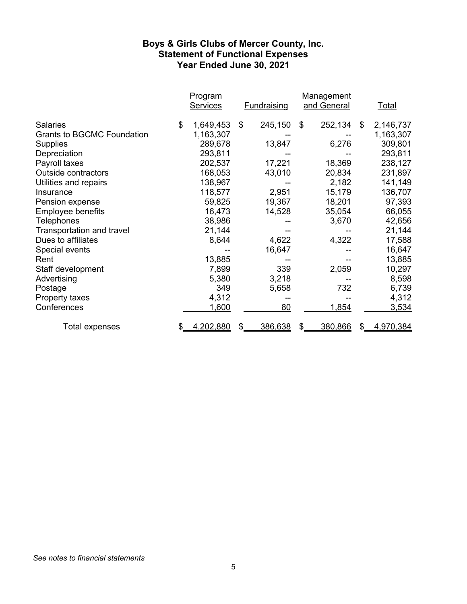## **Boys & Girls Clubs of Mercer County, Inc. Statement of Functional Expenses Year Ended June 30, 2021**

|                                   | Program<br><b>Services</b> | <b>Fundraising</b> |    | Management<br>and General |     | <u>Total</u> |
|-----------------------------------|----------------------------|--------------------|----|---------------------------|-----|--------------|
| <b>Salaries</b>                   | \$<br>1,649,453            | \$<br>245,150      | \$ | 252,134                   | \$  | 2,146,737    |
| <b>Grants to BGCMC Foundation</b> | 1,163,307                  |                    |    |                           |     | 1,163,307    |
| Supplies                          | 289,678                    | 13,847             |    | 6,276                     |     | 309,801      |
| Depreciation                      | 293,811                    |                    |    |                           |     | 293,811      |
| Payroll taxes                     | 202,537                    | 17,221             |    | 18,369                    |     | 238,127      |
| <b>Outside contractors</b>        | 168,053                    | 43,010             |    | 20,834                    |     | 231,897      |
| Utilities and repairs             | 138,967                    |                    |    | 2,182                     |     | 141,149      |
| Insurance                         | 118,577                    | 2,951              |    | 15,179                    |     | 136,707      |
| Pension expense                   | 59,825                     | 19,367             |    | 18,201                    |     | 97,393       |
| <b>Employee benefits</b>          | 16,473                     | 14,528             |    | 35,054                    |     | 66,055       |
| Telephones                        | 38,986                     |                    |    | 3,670                     |     | 42,656       |
| <b>Transportation and travel</b>  | 21,144                     |                    |    |                           |     | 21,144       |
| Dues to affiliates                | 8,644                      | 4,622              |    | 4,322                     |     | 17,588       |
| Special events                    |                            | 16,647             |    |                           |     | 16,647       |
| Rent                              | 13,885                     |                    |    |                           |     | 13,885       |
| Staff development                 | 7,899                      | 339                |    | 2,059                     |     | 10,297       |
| Advertising                       | 5,380                      | 3,218              |    |                           |     | 8,598        |
| Postage                           | 349                        | 5,658              |    | 732                       |     | 6,739        |
| Property taxes                    | 4,312                      |                    |    |                           |     | 4,312        |
| Conferences                       | 1,600                      | 80                 |    | 1,854                     |     | <u>3,534</u> |
| Total expenses                    | \$<br>4,202,880            | 386,638            | S  | 380,866                   | \$. | 4,970,384    |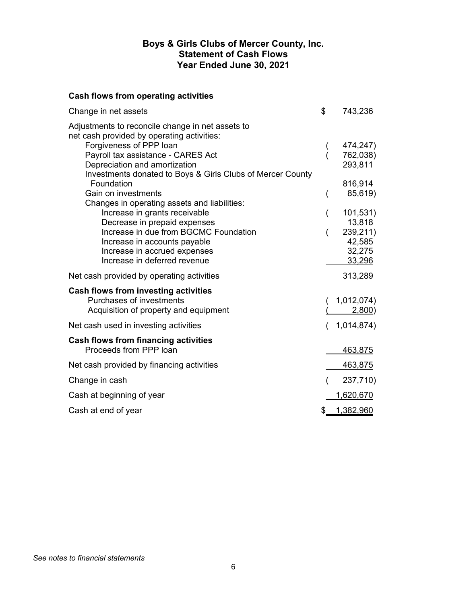## **Boys & Girls Clubs of Mercer County, Inc. Statement of Cash Flows Year Ended June 30, 2021**

## **Cash flows from operating activities**

| Change in net assets                                                                           | \$<br>743,236    |
|------------------------------------------------------------------------------------------------|------------------|
| Adjustments to reconcile change in net assets to<br>net cash provided by operating activities: |                  |
| Forgiveness of PPP loan                                                                        | 474,247)         |
| Payroll tax assistance - CARES Act                                                             | 762,038)         |
| Depreciation and amortization                                                                  | 293,811          |
| Investments donated to Boys & Girls Clubs of Mercer County                                     |                  |
| Foundation                                                                                     | 816,914          |
| Gain on investments<br>Changes in operating assets and liabilities:                            | 85,619)          |
| Increase in grants receivable                                                                  | 101,531)         |
| Decrease in prepaid expenses                                                                   | 13,818           |
| Increase in due from BGCMC Foundation                                                          | 239,211)         |
| Increase in accounts payable                                                                   | 42,585           |
| Increase in accrued expenses                                                                   | 32,275           |
| Increase in deferred revenue                                                                   | 33,296           |
| Net cash provided by operating activities                                                      | 313,289          |
| Cash flows from investing activities                                                           |                  |
| Purchases of investments                                                                       | 1,012,074)       |
| Acquisition of property and equipment                                                          | <u>2,800</u> )   |
| Net cash used in investing activities                                                          | 1,014,874)       |
| Cash flows from financing activities                                                           |                  |
| Proceeds from PPP loan                                                                         | 463,875          |
| Net cash provided by financing activities                                                      | <u>463,875</u>   |
| Change in cash                                                                                 | 237,710)         |
| Cash at beginning of year                                                                      | <u>1,620,670</u> |
| Cash at end of year                                                                            | \$<br>1,382,960  |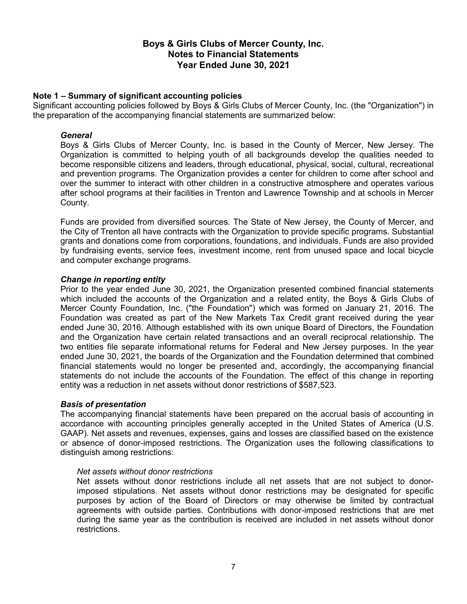## **Note 1 – Summary of significant accounting policies**

Significant accounting policies followed by Boys & Girls Clubs of Mercer County, Inc. (the "Organization") in the preparation of the accompanying financial statements are summarized below:

#### *General*

Boys & Girls Clubs of Mercer County, Inc. is based in the County of Mercer, New Jersey. The Organization is committed to helping youth of all backgrounds develop the qualities needed to become responsible citizens and leaders, through educational, physical, social, cultural, recreational and prevention programs. The Organization provides a center for children to come after school and over the summer to interact with other children in a constructive atmosphere and operates various after school programs at their facilities in Trenton and Lawrence Township and at schools in Mercer County.

Funds are provided from diversified sources. The State of New Jersey, the County of Mercer, and the City of Trenton all have contracts with the Organization to provide specific programs. Substantial grants and donations come from corporations, foundations, and individuals. Funds are also provided by fundraising events, service fees, investment income, rent from unused space and local bicycle and computer exchange programs.

## *Change in reporting entity*

Prior to the year ended June 30, 2021, the Organization presented combined financial statements which included the accounts of the Organization and a related entity, the Boys & Girls Clubs of Mercer County Foundation, Inc. ("the Foundation") which was formed on January 21, 2016. The Foundation was created as part of the New Markets Tax Credit grant received during the year ended June 30, 2016. Although established with its own unique Board of Directors, the Foundation and the Organization have certain related transactions and an overall reciprocal relationship. The two entities file separate informational returns for Federal and New Jersey purposes. In the year ended June 30, 2021, the boards of the Organization and the Foundation determined that combined financial statements would no longer be presented and, accordingly, the accompanying financial statements do not include the accounts of the Foundation. The effect of this change in reporting entity was a reduction in net assets without donor restrictions of \$587,523.

## *Basis of presentation*

The accompanying financial statements have been prepared on the accrual basis of accounting in accordance with accounting principles generally accepted in the United States of America (U.S. GAAP). Net assets and revenues, expenses, gains and losses are classified based on the existence or absence of donor-imposed restrictions. The Organization uses the following classifications to distinguish among restrictions:

#### *Net assets without donor restrictions*

Net assets without donor restrictions include all net assets that are not subject to donorimposed stipulations. Net assets without donor restrictions may be designated for specific purposes by action of the Board of Directors or may otherwise be limited by contractual agreements with outside parties. Contributions with donor-imposed restrictions that are met during the same year as the contribution is received are included in net assets without donor restrictions.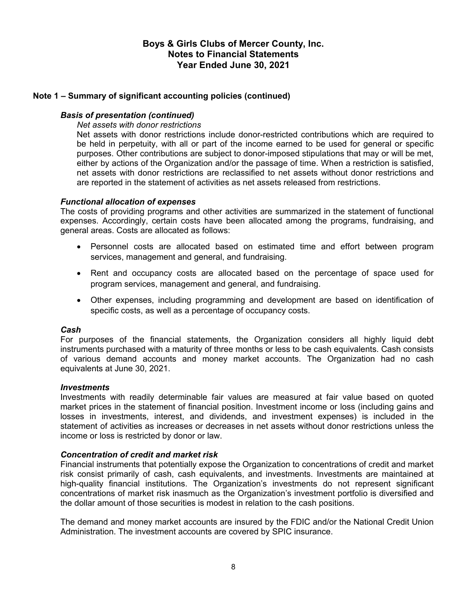## **Note 1 – Summary of significant accounting policies (continued)**

## *Basis of presentation (continued)*

#### *Net assets with donor restrictions*

Net assets with donor restrictions include donor-restricted contributions which are required to be held in perpetuity, with all or part of the income earned to be used for general or specific purposes. Other contributions are subject to donor-imposed stipulations that may or will be met, either by actions of the Organization and/or the passage of time. When a restriction is satisfied, net assets with donor restrictions are reclassified to net assets without donor restrictions and are reported in the statement of activities as net assets released from restrictions.

## *Functional allocation of expenses*

The costs of providing programs and other activities are summarized in the statement of functional expenses. Accordingly, certain costs have been allocated among the programs, fundraising, and general areas. Costs are allocated as follows:

- Personnel costs are allocated based on estimated time and effort between program services, management and general, and fundraising.
- Rent and occupancy costs are allocated based on the percentage of space used for program services, management and general, and fundraising.
- Other expenses, including programming and development are based on identification of specific costs, as well as a percentage of occupancy costs.

## *Cash*

For purposes of the financial statements, the Organization considers all highly liquid debt instruments purchased with a maturity of three months or less to be cash equivalents. Cash consists of various demand accounts and money market accounts. The Organization had no cash equivalents at June 30, 2021.

#### *Investments*

Investments with readily determinable fair values are measured at fair value based on quoted market prices in the statement of financial position. Investment income or loss (including gains and losses in investments, interest, and dividends, and investment expenses) is included in the statement of activities as increases or decreases in net assets without donor restrictions unless the income or loss is restricted by donor or law.

## *Concentration of credit and market risk*

Financial instruments that potentially expose the Organization to concentrations of credit and market risk consist primarily of cash, cash equivalents, and investments. Investments are maintained at high-quality financial institutions. The Organization's investments do not represent significant concentrations of market risk inasmuch as the Organization's investment portfolio is diversified and the dollar amount of those securities is modest in relation to the cash positions.

The demand and money market accounts are insured by the FDIC and/or the National Credit Union Administration. The investment accounts are covered by SPIC insurance.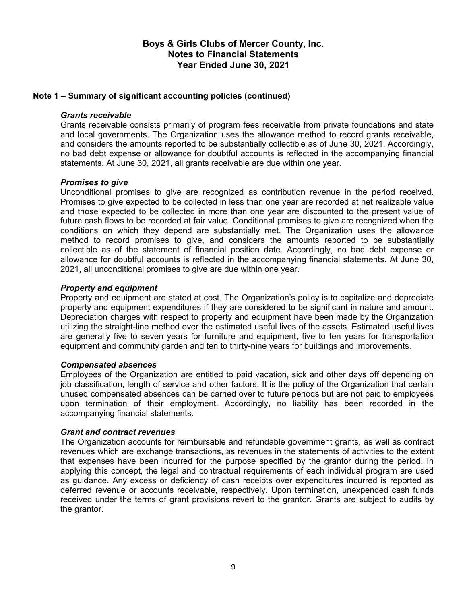## **Note 1 – Summary of significant accounting policies (continued)**

## *Grants receivable*

Grants receivable consists primarily of program fees receivable from private foundations and state and local governments. The Organization uses the allowance method to record grants receivable, and considers the amounts reported to be substantially collectible as of June 30, 2021. Accordingly, no bad debt expense or allowance for doubtful accounts is reflected in the accompanying financial statements. At June 30, 2021, all grants receivable are due within one year.

## *Promises to give*

Unconditional promises to give are recognized as contribution revenue in the period received. Promises to give expected to be collected in less than one year are recorded at net realizable value and those expected to be collected in more than one year are discounted to the present value of future cash flows to be recorded at fair value. Conditional promises to give are recognized when the conditions on which they depend are substantially met. The Organization uses the allowance method to record promises to give, and considers the amounts reported to be substantially collectible as of the statement of financial position date. Accordingly, no bad debt expense or allowance for doubtful accounts is reflected in the accompanying financial statements. At June 30, 2021, all unconditional promises to give are due within one year.

## *Property and equipment*

Property and equipment are stated at cost. The Organization's policy is to capitalize and depreciate property and equipment expenditures if they are considered to be significant in nature and amount. Depreciation charges with respect to property and equipment have been made by the Organization utilizing the straight-line method over the estimated useful lives of the assets. Estimated useful lives are generally five to seven years for furniture and equipment, five to ten years for transportation equipment and community garden and ten to thirty-nine years for buildings and improvements.

## *Compensated absences*

Employees of the Organization are entitled to paid vacation, sick and other days off depending on job classification, length of service and other factors. It is the policy of the Organization that certain unused compensated absences can be carried over to future periods but are not paid to employees upon termination of their employment. Accordingly, no liability has been recorded in the accompanying financial statements.

## *Grant and contract revenues*

The Organization accounts for reimbursable and refundable government grants, as well as contract revenues which are exchange transactions, as revenues in the statements of activities to the extent that expenses have been incurred for the purpose specified by the grantor during the period. In applying this concept, the legal and contractual requirements of each individual program are used as guidance. Any excess or deficiency of cash receipts over expenditures incurred is reported as deferred revenue or accounts receivable, respectively. Upon termination, unexpended cash funds received under the terms of grant provisions revert to the grantor. Grants are subject to audits by the grantor.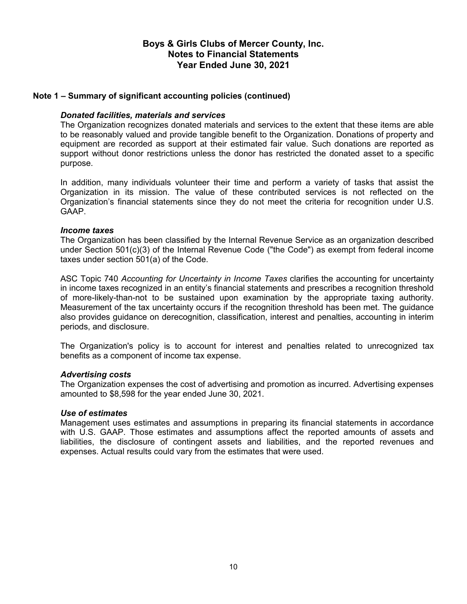## **Note 1 – Summary of significant accounting policies (continued)**

## *Donated facilities, materials and services*

The Organization recognizes donated materials and services to the extent that these items are able to be reasonably valued and provide tangible benefit to the Organization. Donations of property and equipment are recorded as support at their estimated fair value. Such donations are reported as support without donor restrictions unless the donor has restricted the donated asset to a specific purpose.

In addition, many individuals volunteer their time and perform a variety of tasks that assist the Organization in its mission. The value of these contributed services is not reflected on the Organization's financial statements since they do not meet the criteria for recognition under U.S. GAAP.

## *Income taxes*

The Organization has been classified by the Internal Revenue Service as an organization described under Section 501(c)(3) of the Internal Revenue Code ("the Code") as exempt from federal income taxes under section 501(a) of the Code.

ASC Topic 740 *Accounting for Uncertainty in Income Taxes* clarifies the accounting for uncertainty in income taxes recognized in an entity's financial statements and prescribes a recognition threshold of more-likely-than-not to be sustained upon examination by the appropriate taxing authority. Measurement of the tax uncertainty occurs if the recognition threshold has been met. The guidance also provides guidance on derecognition, classification, interest and penalties, accounting in interim periods, and disclosure.

The Organization's policy is to account for interest and penalties related to unrecognized tax benefits as a component of income tax expense.

## *Advertising costs*

The Organization expenses the cost of advertising and promotion as incurred. Advertising expenses amounted to \$8,598 for the year ended June 30, 2021.

## *Use of estimates*

Management uses estimates and assumptions in preparing its financial statements in accordance with U.S. GAAP. Those estimates and assumptions affect the reported amounts of assets and liabilities, the disclosure of contingent assets and liabilities, and the reported revenues and expenses. Actual results could vary from the estimates that were used.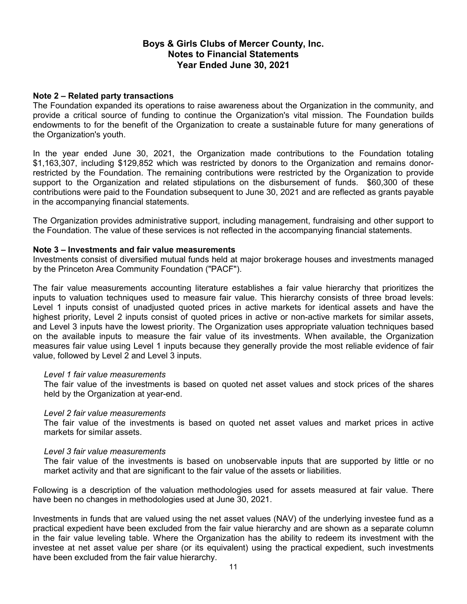## **Note 2 – Related party transactions**

The Foundation expanded its operations to raise awareness about the Organization in the community, and provide a critical source of funding to continue the Organization's vital mission. The Foundation builds endowments to for the benefit of the Organization to create a sustainable future for many generations of the Organization's youth.

In the year ended June 30, 2021, the Organization made contributions to the Foundation totaling \$1,163,307, including \$129,852 which was restricted by donors to the Organization and remains donorrestricted by the Foundation. The remaining contributions were restricted by the Organization to provide support to the Organization and related stipulations on the disbursement of funds. \$60,300 of these contributions were paid to the Foundation subsequent to June 30, 2021 and are reflected as grants payable in the accompanying financial statements.

The Organization provides administrative support, including management, fundraising and other support to the Foundation. The value of these services is not reflected in the accompanying financial statements.

## **Note 3 – Investments and fair value measurements**

Investments consist of diversified mutual funds held at major brokerage houses and investments managed by the Princeton Area Community Foundation ("PACF").

The fair value measurements accounting literature establishes a fair value hierarchy that prioritizes the inputs to valuation techniques used to measure fair value. This hierarchy consists of three broad levels: Level 1 inputs consist of unadjusted quoted prices in active markets for identical assets and have the highest priority, Level 2 inputs consist of quoted prices in active or non-active markets for similar assets, and Level 3 inputs have the lowest priority. The Organization uses appropriate valuation techniques based on the available inputs to measure the fair value of its investments. When available, the Organization measures fair value using Level 1 inputs because they generally provide the most reliable evidence of fair value, followed by Level 2 and Level 3 inputs.

## *Level 1 fair value measurements*

The fair value of the investments is based on quoted net asset values and stock prices of the shares held by the Organization at year-end.

## *Level 2 fair value measurements*

The fair value of the investments is based on quoted net asset values and market prices in active markets for similar assets.

## *Level 3 fair value measurements*

The fair value of the investments is based on unobservable inputs that are supported by little or no market activity and that are significant to the fair value of the assets or liabilities.

Following is a description of the valuation methodologies used for assets measured at fair value. There have been no changes in methodologies used at June 30, 2021.

Investments in funds that are valued using the net asset values (NAV) of the underlying investee fund as a practical expedient have been excluded from the fair value hierarchy and are shown as a separate column in the fair value leveling table. Where the Organization has the ability to redeem its investment with the investee at net asset value per share (or its equivalent) using the practical expedient, such investments have been excluded from the fair value hierarchy.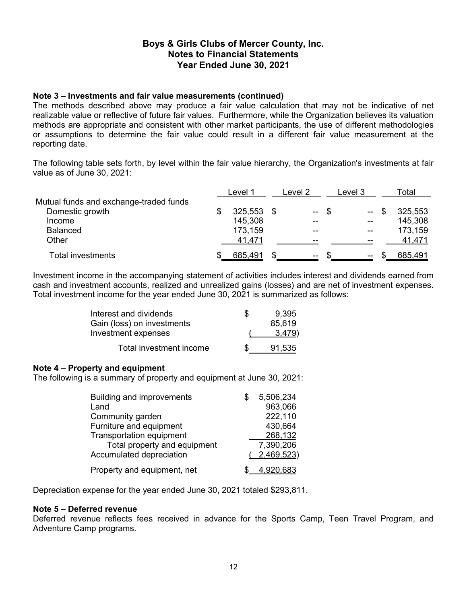## **Note 3 – Investments and fair value measurements (continued)**

The methods described above may produce a fair value calculation that may not be indicative of net realizable value or reflective of future fair values. Furthermore, while the Organization believes its valuation methods are appropriate and consistent with other market participants, the use of different methodologies or assumptions to determine the fair value could result in a different fair value measurement at the reporting date.

The following table sets forth, by level within the fair value hierarchy, the Organization's investments at fair value as of June 30, 2021:

|                                        | Level 1 | Level 2       |      | evel 3-      | Гоtal   |
|----------------------------------------|---------|---------------|------|--------------|---------|
| Mutual funds and exchange-traded funds |         |               |      |              |         |
| Domestic growth                        | 325,553 | $\sim$ $\sim$ | - \$ | $\mathbf{u}$ | 325,553 |
| Income                                 | 145,308 | --            |      | --           | 145,308 |
| <b>Balanced</b>                        | 173,159 |               |      |              | 173,159 |
| Other                                  | 41.471  | --            |      | --           | 41,471  |
| Total investments                      | 685,491 | $\sim$ $\sim$ |      | $\sim$       | 685,491 |

Investment income in the accompanying statement of activities includes interest and dividends earned from cash and investment accounts, realized and unrealized gains (losses) and are net of investment expenses. Total investment income for the year ended June 30, 2021 is summarized as follows:

| Interest and dividends     | Ж | 9.395  |
|----------------------------|---|--------|
| Gain (loss) on investments |   | 85,619 |
| Investment expenses        |   | 3,479  |
| Total investment income    |   | 91,535 |

## **Note 4 – Property and equipment**

The following is a summary of property and equipment at June 30, 2021:

| <b>Building and improvements</b><br>Land | 5,506,234<br>963,066 |
|------------------------------------------|----------------------|
| Community garden                         | 222,110              |
| Furniture and equipment                  | 430,664              |
| <b>Transportation equipment</b>          | 268,132              |
| Total property and equipment             | 7,390,206            |
| <b>Accumulated depreciation</b>          | (2,469,523)          |
| Property and equipment, net              | 4,920,683            |

Depreciation expense for the year ended June 30, 2021 totaled \$293,811.

## **Note 5 – Deferred revenue**

Deferred revenue reflects fees received in advance for the Sports Camp, Teen Travel Program, and Adventure Camp programs.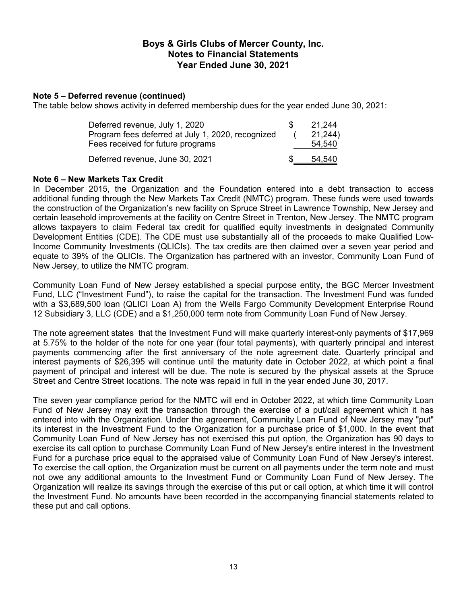## **Note 5 – Deferred revenue (continued)**

The table below shows activity in deferred membership dues for the year ended June 30, 2021:

| Deferred revenue, July 1, 2020<br>Program fees deferred at July 1, 2020, recognized<br>Fees received for future programs | S. | 21.244<br>21,244)<br>54.540 |
|--------------------------------------------------------------------------------------------------------------------------|----|-----------------------------|
| Deferred revenue, June 30, 2021                                                                                          |    | 54.540                      |

## **Note 6 – New Markets Tax Credit**

In December 2015, the Organization and the Foundation entered into a debt transaction to access additional funding through the New Markets Tax Credit (NMTC) program. These funds were used towards the construction of the Organization's new facility on Spruce Street in Lawrence Township, New Jersey and certain leasehold improvements at the facility on Centre Street in Trenton, New Jersey. The NMTC program allows taxpayers to claim Federal tax credit for qualified equity investments in designated Community Development Entities (CDE). The CDE must use substantially all of the proceeds to make Qualified Low-Income Community Investments (QLICIs). The tax credits are then claimed over a seven year period and equate to 39% of the QLICIs. The Organization has partnered with an investor, Community Loan Fund of New Jersey, to utilize the NMTC program.

Community Loan Fund of New Jersey established a special purpose entity, the BGC Mercer Investment Fund, LLC ("Investment Fund"), to raise the capital for the transaction. The Investment Fund was funded with a \$3,689,500 loan (QLICI Loan A) from the Wells Fargo Community Development Enterprise Round 12 Subsidiary 3, LLC (CDE) and a \$1,250,000 term note from Community Loan Fund of New Jersey.

The note agreement states that the Investment Fund will make quarterly interest-only payments of \$17,969 at 5.75% to the holder of the note for one year (four total payments), with quarterly principal and interest payments commencing after the first anniversary of the note agreement date. Quarterly principal and interest payments of \$26,395 will continue until the maturity date in October 2022, at which point a final payment of principal and interest will be due. The note is secured by the physical assets at the Spruce Street and Centre Street locations. The note was repaid in full in the year ended June 30, 2017.

The seven year compliance period for the NMTC will end in October 2022, at which time Community Loan Fund of New Jersey may exit the transaction through the exercise of a put/call agreement which it has entered into with the Organization. Under the agreement, Community Loan Fund of New Jersey may "put" its interest in the Investment Fund to the Organization for a purchase price of \$1,000. In the event that Community Loan Fund of New Jersey has not exercised this put option, the Organization has 90 days to exercise its call option to purchase Community Loan Fund of New Jersey's entire interest in the Investment Fund for a purchase price equal to the appraised value of Community Loan Fund of New Jersey's interest. To exercise the call option, the Organization must be current on all payments under the term note and must not owe any additional amounts to the Investment Fund or Community Loan Fund of New Jersey. The Organization will realize its savings through the exercise of this put or call option, at which time it will control the Investment Fund. No amounts have been recorded in the accompanying financial statements related to these put and call options.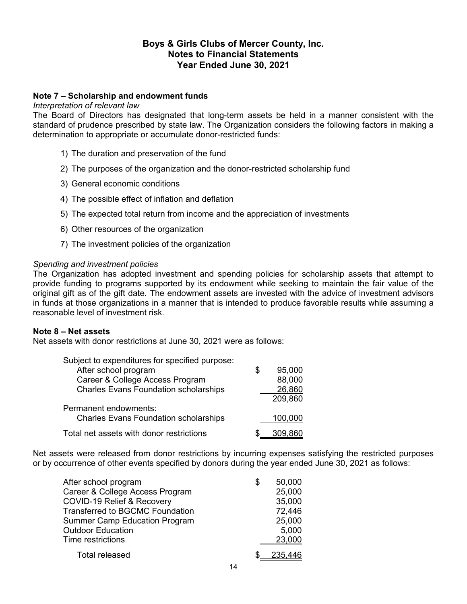## **Note 7 – Scholarship and endowment funds**

#### *Interpretation of relevant law*

The Board of Directors has designated that long-term assets be held in a manner consistent with the standard of prudence prescribed by state law. The Organization considers the following factors in making a determination to appropriate or accumulate donor-restricted funds:

- 1) The duration and preservation of the fund
- 2) The purposes of the organization and the donor-restricted scholarship fund
- 3) General economic conditions
- 4) The possible effect of inflation and deflation
- 5) The expected total return from income and the appreciation of investments
- 6) Other resources of the organization
- 7) The investment policies of the organization

## *Spending and investment policies*

The Organization has adopted investment and spending policies for scholarship assets that attempt to provide funding to programs supported by its endowment while seeking to maintain the fair value of the original gift as of the gift date. The endowment assets are invested with the advice of investment advisors in funds at those organizations in a manner that is intended to produce favorable results while assuming a reasonable level of investment risk.

## **Note 8 – Net assets**

Net assets with donor restrictions at June 30, 2021 were as follows:

| Subject to expenditures for specified purpose: |              |
|------------------------------------------------|--------------|
| After school program                           | \$<br>95,000 |
| Career & College Access Program                | 88,000       |
| <b>Charles Evans Foundation scholarships</b>   | 26,860       |
|                                                | 209,860      |
| Permanent endowments:                          |              |
| <b>Charles Evans Foundation scholarships</b>   | 100,000      |
| Total net assets with donor restrictions       | 309,860      |
|                                                |              |

Net assets were released from donor restrictions by incurring expenses satisfying the restricted purposes or by occurrence of other events specified by donors during the year ended June 30, 2021 as follows:

| After school program                   | \$ | 50,000  |
|----------------------------------------|----|---------|
| Career & College Access Program        |    | 25,000  |
| COVID-19 Relief & Recovery             |    | 35,000  |
| <b>Transferred to BGCMC Foundation</b> |    | 72,446  |
| <b>Summer Camp Education Program</b>   |    | 25,000  |
| <b>Outdoor Education</b>               |    | 5,000   |
| Time restrictions                      |    | 23,000  |
| <b>Total released</b>                  | S. | 235,446 |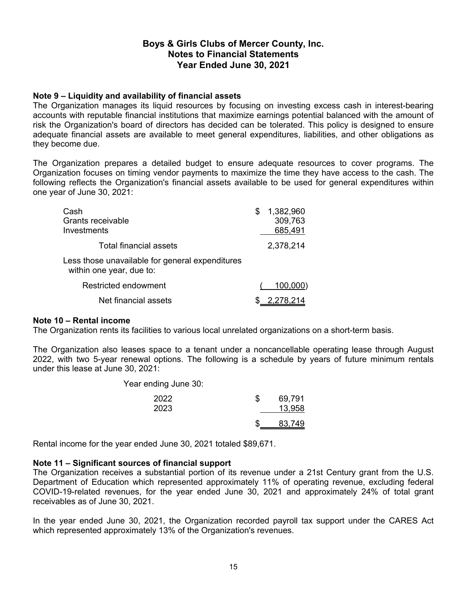## **Note 9 – Liquidity and availability of financial assets**

The Organization manages its liquid resources by focusing on investing excess cash in interest-bearing accounts with reputable financial institutions that maximize earnings potential balanced with the amount of risk the Organization's board of directors has decided can be tolerated. This policy is designed to ensure adequate financial assets are available to meet general expenditures, liabilities, and other obligations as they become due.

The Organization prepares a detailed budget to ensure adequate resources to cover programs. The Organization focuses on timing vendor payments to maximize the time they have access to the cash. The following reflects the Organization's financial assets available to be used for general expenditures within one year of June 30, 2021:

| Cash<br>Grants receivable<br>Investments                                    | 1,382,960<br>309,763<br>685,491 |
|-----------------------------------------------------------------------------|---------------------------------|
| Total financial assets                                                      | 2,378,214                       |
| Less those unavailable for general expenditures<br>within one year, due to: |                                 |
| Restricted endowment                                                        | 100,000)                        |
| Net financial assets                                                        | \$2,278,214                     |

## **Note 10 – Rental income**

The Organization rents its facilities to various local unrelated organizations on a short-term basis.

The Organization also leases space to a tenant under a noncancellable operating lease through August 2022, with two 5-year renewal options. The following is a schedule by years of future minimum rentals under this lease at June 30, 2021:

Year ending June 30:

| 2022<br>2023 | 69,791<br>13,958 |
|--------------|------------------|
|              | <u>83,749</u>    |

Rental income for the year ended June 30, 2021 totaled \$89,671.

## **Note 11 – Significant sources of financial support**

The Organization receives a substantial portion of its revenue under a 21st Century grant from the U.S. Department of Education which represented approximately 11% of operating revenue, excluding federal COVID-19-related revenues, for the year ended June 30, 2021 and approximately 24% of total grant receivables as of June 30, 2021.

In the year ended June 30, 2021, the Organization recorded payroll tax support under the CARES Act which represented approximately 13% of the Organization's revenues.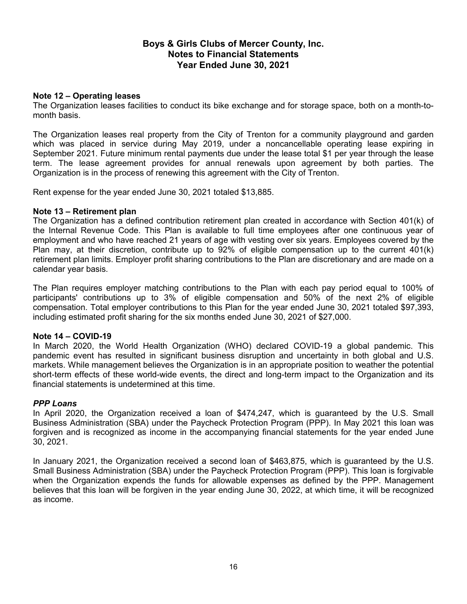## **Note 12 – Operating leases**

The Organization leases facilities to conduct its bike exchange and for storage space, both on a month-tomonth basis.

The Organization leases real property from the City of Trenton for a community playground and garden which was placed in service during May 2019, under a noncancellable operating lease expiring in September 2021. Future minimum rental payments due under the lease total \$1 per year through the lease term. The lease agreement provides for annual renewals upon agreement by both parties. The Organization is in the process of renewing this agreement with the City of Trenton.

Rent expense for the year ended June 30, 2021 totaled \$13,885.

## **Note 13 – Retirement plan**

The Organization has a defined contribution retirement plan created in accordance with Section 401(k) of the Internal Revenue Code. This Plan is available to full time employees after one continuous year of employment and who have reached 21 years of age with vesting over six years. Employees covered by the Plan may, at their discretion, contribute up to 92% of eligible compensation up to the current 401(k) retirement plan limits. Employer profit sharing contributions to the Plan are discretionary and are made on a calendar year basis.

The Plan requires employer matching contributions to the Plan with each pay period equal to 100% of participants' contributions up to 3% of eligible compensation and 50% of the next 2% of eligible compensation. Total employer contributions to this Plan for the year ended June 30, 2021 totaled \$97,393, including estimated profit sharing for the six months ended June 30, 2021 of \$27,000.

## **Note 14 – COVID-19**

In March 2020, the World Health Organization (WHO) declared COVID-19 a global pandemic. This pandemic event has resulted in significant business disruption and uncertainty in both global and U.S. markets. While management believes the Organization is in an appropriate position to weather the potential short-term effects of these world-wide events, the direct and long-term impact to the Organization and its financial statements is undetermined at this time.

## *PPP Loans*

In April 2020, the Organization received a loan of \$474,247, which is guaranteed by the U.S. Small Business Administration (SBA) under the Paycheck Protection Program (PPP). In May 2021 this loan was forgiven and is recognized as income in the accompanying financial statements for the year ended June 30, 2021.

In January 2021, the Organization received a second loan of \$463,875, which is guaranteed by the U.S. Small Business Administration (SBA) under the Paycheck Protection Program (PPP). This loan is forgivable when the Organization expends the funds for allowable expenses as defined by the PPP. Management believes that this loan will be forgiven in the year ending June 30, 2022, at which time, it will be recognized as income.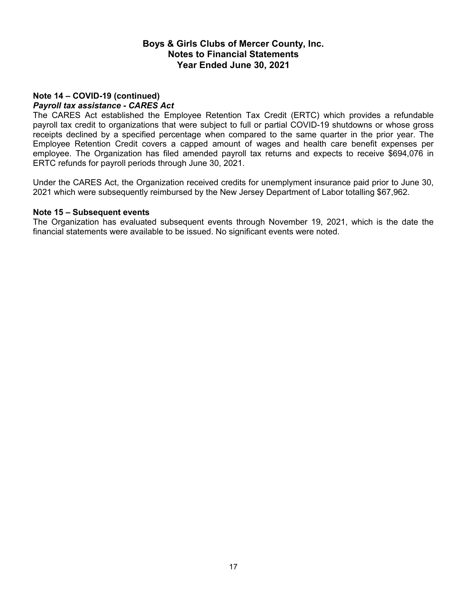## **Note 14 – COVID-19 (continued)** *Payroll tax assistance - CARES Act*

The CARES Act established the Employee Retention Tax Credit (ERTC) which provides a refundable payroll tax credit to organizations that were subject to full or partial COVID-19 shutdowns or whose gross receipts declined by a specified percentage when compared to the same quarter in the prior year. The Employee Retention Credit covers a capped amount of wages and health care benefit expenses per employee. The Organization has filed amended payroll tax returns and expects to receive \$694,076 in ERTC refunds for payroll periods through June 30, 2021.

Under the CARES Act, the Organization received credits for unemplyment insurance paid prior to June 30, 2021 which were subsequently reimbursed by the New Jersey Department of Labor totalling \$67,962.

## **Note 15 – Subsequent events**

The Organization has evaluated subsequent events through November 19, 2021, which is the date the financial statements were available to be issued. No significant events were noted.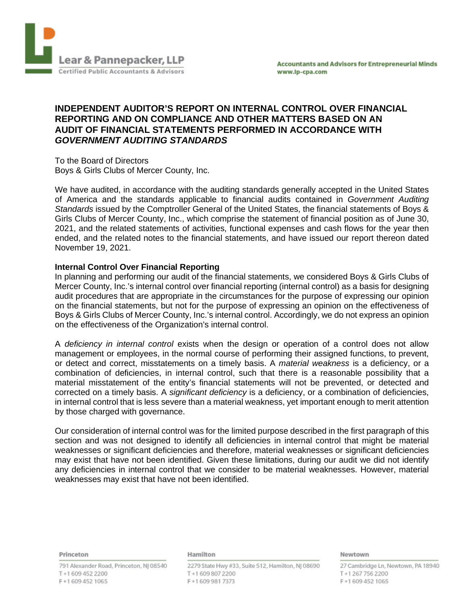

## **INDEPENDENT AUDITOR'S REPORT ON INTERNAL CONTROL OVER FINANCIAL REPORTING AND ON COMPLIANCE AND OTHER MATTERS BASED ON AN AUDIT OF FINANCIAL STATEMENTS PERFORMED IN ACCORDANCE WITH** *GOVERNMENT AUDITING STANDARDS*

To the Board of Directors Boys & Girls Clubs of Mercer County, Inc.

We have audited, in accordance with the auditing standards generally accepted in the United States of America and the standards applicable to financial audits contained in *Government Auditing Standards* issued by the Comptroller General of the United States, the financial statements of Boys & Girls Clubs of Mercer County, Inc., which comprise the statement of financial position as of June 30, 2021, and the related statements of activities, functional expenses and cash flows for the year then ended, and the related notes to the financial statements, and have issued our report thereon dated November 19, 2021.

## **Internal Control Over Financial Reporting**

In planning and performing our audit of the financial statements, we considered Boys & Girls Clubs of Mercer County, Inc.'s internal control over financial reporting (internal control) as a basis for designing audit procedures that are appropriate in the circumstances for the purpose of expressing our opinion on the financial statements, but not for the purpose of expressing an opinion on the effectiveness of Boys & Girls Clubs of Mercer County, Inc.'s internal control. Accordingly, we do not express an opinion on the effectiveness of the Organization's internal control.

A *deficiency in internal control* exists when the design or operation of a control does not allow management or employees, in the normal course of performing their assigned functions, to prevent, or detect and correct, misstatements on a timely basis. A *material weakness* is a deficiency, or a combination of deficiencies, in internal control, such that there is a reasonable possibility that a material misstatement of the entity's financial statements will not be prevented, or detected and corrected on a timely basis. A *significant deficiency* is a deficiency, or a combination of deficiencies, in internal control that is less severe than a material weakness, yet important enough to merit attention by those charged with governance.

Our consideration of internal control was for the limited purpose described in the first paragraph of this section and was not designed to identify all deficiencies in internal control that might be material weaknesses or significant deficiencies and therefore, material weaknesses or significant deficiencies may exist that have not been identified. Given these limitations, during our audit we did not identify any deficiencies in internal control that we consider to be material weaknesses. However, material weaknesses may exist that have not been identified.

Princeton

791 Alexander Road, Princeton, NJ 08540 T+1 609 452 2200 F+16094521065

#### Hamilton

2279 State Hwy #33, Suite 512, Hamilton, NJ 08690 T+16098072200 F+16099817373

#### Newtown

27 Cambridge Ln, Newtown, PA 18940 T+12677562200 F+16094521065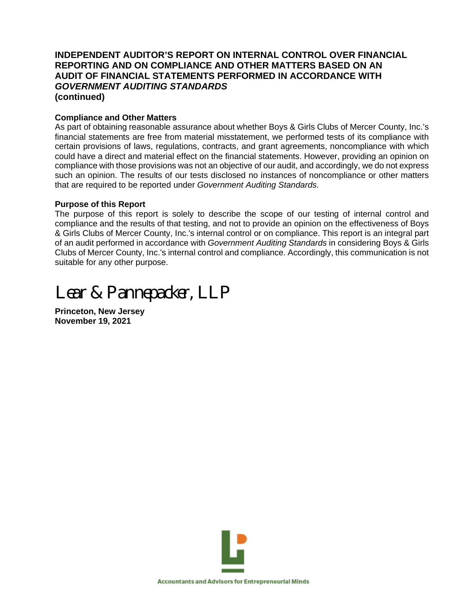## **INDEPENDENT AUDITOR'S REPORT ON INTERNAL CONTROL OVER FINANCIAL REPORTING AND ON COMPLIANCE AND OTHER MATTERS BASED ON AN AUDIT OF FINANCIAL STATEMENTS PERFORMED IN ACCORDANCE WITH** *GOVERNMENT AUDITING STANDARDS* **(continued)**

## **Compliance and Other Matters**

As part of obtaining reasonable assurance about whether Boys & Girls Clubs of Mercer County, Inc.'s financial statements are free from material misstatement, we performed tests of its compliance with certain provisions of laws, regulations, contracts, and grant agreements, noncompliance with which could have a direct and material effect on the financial statements. However, providing an opinion on compliance with those provisions was not an objective of our audit, and accordingly, we do not express such an opinion. The results of our tests disclosed no instances of noncompliance or other matters that are required to be reported under *Government Auditing Standards*.

## **Purpose of this Report**

The purpose of this report is solely to describe the scope of our testing of internal control and compliance and the results of that testing, and not to provide an opinion on the effectiveness of Boys & Girls Clubs of Mercer County, Inc.'s internal control or on compliance. This report is an integral part of an audit performed in accordance with *Government Auditing Standards* in considering Boys & Girls Clubs of Mercer County, Inc.'s internal control and compliance. Accordingly, this communication is not suitable for any other purpose.

# *Lear & Pannepacker, LLP*

**Princeton, New Jersey November 19, 2021**

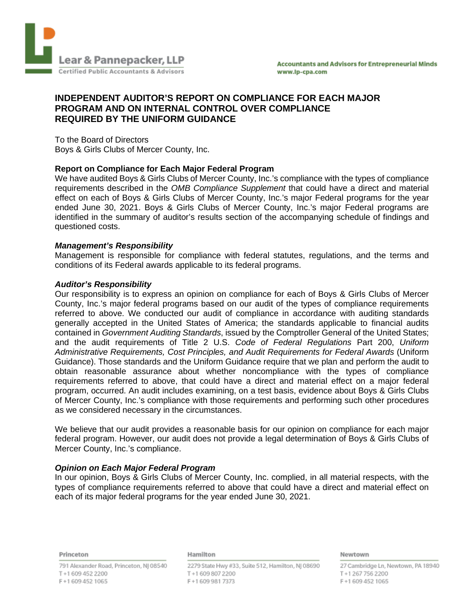

## **INDEPENDENT AUDITOR'S REPORT ON COMPLIANCE FOR EACH MAJOR PROGRAM AND ON INTERNAL CONTROL OVER COMPLIANCE REQUIRED BY THE UNIFORM GUIDANCE**

To the Board of Directors Boys & Girls Clubs of Mercer County, Inc.

## **Report on Compliance for Each Major Federal Program**

We have audited Boys & Girls Clubs of Mercer County, Inc.'s compliance with the types of compliance requirements described in the *OMB Compliance Supplement* that could have a direct and material effect on each of Boys & Girls Clubs of Mercer County, Inc.'s major Federal programs for the year ended June 30, 2021. Boys & Girls Clubs of Mercer County, Inc.'s major Federal programs are identified in the summary of auditor's results section of the accompanying schedule of findings and questioned costs.

## *Management's Responsibility*

Management is responsible for compliance with federal statutes, regulations, and the terms and conditions of its Federal awards applicable to its federal programs.

#### *Auditor's Responsibility*

Our responsibility is to express an opinion on compliance for each of Boys & Girls Clubs of Mercer County, Inc.'s major federal programs based on our audit of the types of compliance requirements referred to above. We conducted our audit of compliance in accordance with auditing standards generally accepted in the United States of America; the standards applicable to financial audits contained in *Government Auditing Standards*, issued by the Comptroller General of the United States; and the audit requirements of Title 2 U.S. *Code of Federal Regulations* Part 200, *Uniform Administrative Requirements, Cost Principles, and Audit Requirements for Federal Awards* (Uniform Guidance). Those standards and the Uniform Guidance require that we plan and perform the audit to obtain reasonable assurance about whether noncompliance with the types of compliance requirements referred to above, that could have a direct and material effect on a major federal program, occurred. An audit includes examining, on a test basis, evidence about Boys & Girls Clubs of Mercer County, Inc.'s compliance with those requirements and performing such other procedures as we considered necessary in the circumstances.

We believe that our audit provides a reasonable basis for our opinion on compliance for each major federal program. However, our audit does not provide a legal determination of Boys & Girls Clubs of Mercer County, Inc.'s compliance.

## *Opinion on Each Major Federal Program*

In our opinion, Boys & Girls Clubs of Mercer County, Inc. complied, in all material respects, with the types of compliance requirements referred to above that could have a direct and material effect on each of its major federal programs for the year ended June 30, 2021.

Princeton

#### Hamilton

791 Alexander Road, Princeton, NJ 08540 T+16094522200 F+16094521065

2279 State Hwy #33, Suite 512, Hamilton, NJ 08690 T+16098072200 F+16099817373

Newtown

27 Cambridge Ln, Newtown, PA 18940 T+12677562200 F+16094521065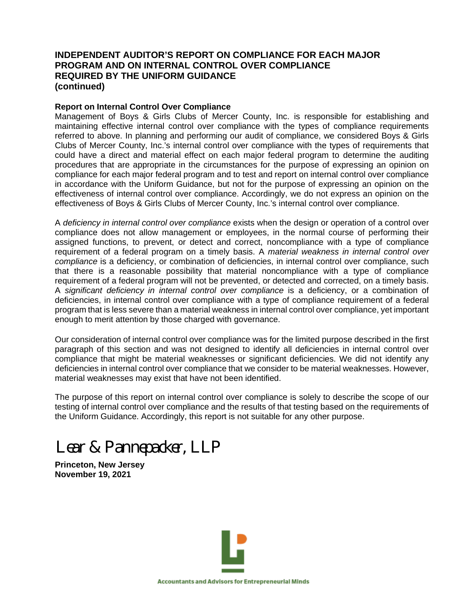## **INDEPENDENT AUDITOR'S REPORT ON COMPLIANCE FOR EACH MAJOR PROGRAM AND ON INTERNAL CONTROL OVER COMPLIANCE REQUIRED BY THE UNIFORM GUIDANCE (continued)**

#### **Report on Internal Control Over Compliance**

Management of Boys & Girls Clubs of Mercer County, Inc. is responsible for establishing and maintaining effective internal control over compliance with the types of compliance requirements referred to above. In planning and performing our audit of compliance, we considered Boys & Girls Clubs of Mercer County, Inc.'s internal control over compliance with the types of requirements that could have a direct and material effect on each major federal program to determine the auditing procedures that are appropriate in the circumstances for the purpose of expressing an opinion on compliance for each major federal program and to test and report on internal control over compliance in accordance with the Uniform Guidance, but not for the purpose of expressing an opinion on the effectiveness of internal control over compliance. Accordingly, we do not express an opinion on the effectiveness of Boys & Girls Clubs of Mercer County, Inc.'s internal control over compliance.

A *deficiency in internal control over compliance* exists when the design or operation of a control over compliance does not allow management or employees, in the normal course of performing their assigned functions, to prevent, or detect and correct, noncompliance with a type of compliance requirement of a federal program on a timely basis. A *material weakness in internal control over compliance* is a deficiency, or combination of deficiencies, in internal control over compliance, such that there is a reasonable possibility that material noncompliance with a type of compliance requirement of a federal program will not be prevented, or detected and corrected, on a timely basis. A *significant deficiency in internal control over compliance* is a deficiency, or a combination of deficiencies, in internal control over compliance with a type of compliance requirement of a federal program that is less severe than a material weakness in internal control over compliance, yet important enough to merit attention by those charged with governance.

Our consideration of internal control over compliance was for the limited purpose described in the first paragraph of this section and was not designed to identify all deficiencies in internal control over compliance that might be material weaknesses or significant deficiencies. We did not identify any deficiencies in internal control over compliance that we consider to be material weaknesses. However, material weaknesses may exist that have not been identified.

The purpose of this report on internal control over compliance is solely to describe the scope of our testing of internal control over compliance and the results of that testing based on the requirements of the Uniform Guidance. Accordingly, this report is not suitable for any other purpose.

# *Lear & Pannepacker, LLP*

**Princeton, New Jersey November 19, 2021**

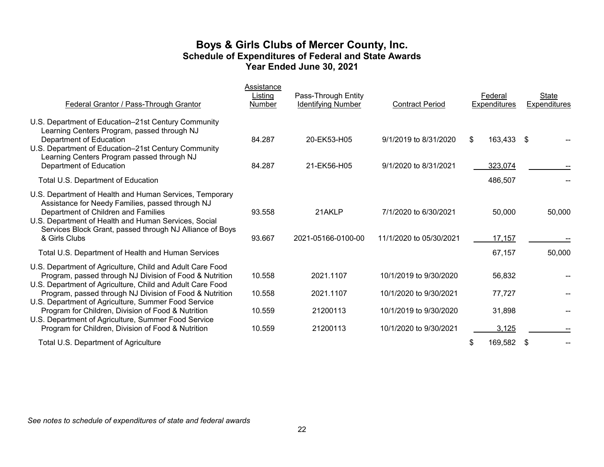## **Boys & Girls Clubs of Mercer County, Inc. Schedule of Expenditures of Federal and State Awards Year Ended June 30, 2021**

| Federal Grantor / Pass-Through Grantor                                                                                                                                                                                                                                                  | Assistance<br>Listing<br><b>Number</b> | Pass-Through Entity<br><b>Identifying Number</b> | <b>Contract Period</b>                           | Federal<br><b>Expenditures</b> | State<br>Expenditures |
|-----------------------------------------------------------------------------------------------------------------------------------------------------------------------------------------------------------------------------------------------------------------------------------------|----------------------------------------|--------------------------------------------------|--------------------------------------------------|--------------------------------|-----------------------|
| U.S. Department of Education-21st Century Community<br>Learning Centers Program, passed through NJ<br>Department of Education<br>U.S. Department of Education-21st Century Community<br>Learning Centers Program passed through NJ<br>Department of Education                           | 84.287<br>84.287                       | 20-EK53-H05<br>21-EK56-H05                       | 9/1/2019 to 8/31/2020<br>9/1/2020 to 8/31/2021   | 163,433 \$<br>\$<br>323,074    |                       |
| Total U.S. Department of Education                                                                                                                                                                                                                                                      |                                        |                                                  |                                                  | 486,507                        |                       |
| U.S. Department of Health and Human Services, Temporary<br>Assistance for Needy Families, passed through NJ<br>Department of Children and Families<br>U.S. Department of Health and Human Services, Social<br>Services Block Grant, passed through NJ Alliance of Boys<br>& Girls Clubs | 93.558<br>93.667                       | 21AKLP<br>2021-05166-0100-00                     | 7/1/2020 to 6/30/2021<br>11/1/2020 to 05/30/2021 | 50,000<br>17,157               | 50,000                |
| Total U.S. Department of Health and Human Services                                                                                                                                                                                                                                      |                                        |                                                  |                                                  | 67,157                         | 50,000                |
| U.S. Department of Agriculture, Child and Adult Care Food<br>Program, passed through NJ Division of Food & Nutrition<br>U.S. Department of Agriculture, Child and Adult Care Food                                                                                                       | 10.558                                 | 2021.1107                                        | 10/1/2019 to 9/30/2020                           | 56,832                         |                       |
| Program, passed through NJ Division of Food & Nutrition<br>U.S. Department of Agriculture, Summer Food Service                                                                                                                                                                          | 10.558                                 | 2021.1107                                        | 10/1/2020 to 9/30/2021                           | 77,727                         |                       |
| Program for Children, Division of Food & Nutrition<br>U.S. Department of Agriculture, Summer Food Service<br>Program for Children, Division of Food & Nutrition                                                                                                                         | 10.559<br>10.559                       | 21200113<br>21200113                             | 10/1/2019 to 9/30/2020<br>10/1/2020 to 9/30/2021 | 31,898<br>3,125                |                       |
| Total U.S. Department of Agriculture                                                                                                                                                                                                                                                    |                                        |                                                  |                                                  | 169,582<br>\$                  | - \$                  |

*See notes to schedule of expenditures of state and federal awards*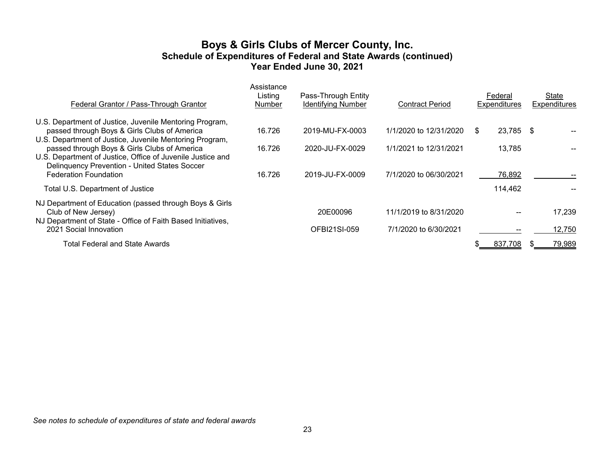## **Boys & Girls Clubs of Mercer County, Inc. Schedule of Expenditures of Federal and State Awards (continued) Year Ended June 30, 2021**

| U.S. Department of Justice, Juvenile Mentoring Program,<br>passed through Boys & Girls Clubs of America<br>16.726<br>1/1/2020 to 12/31/2020<br>23,785<br>2019-MU-FX-0003<br>- \$<br>S.<br>U.S. Department of Justice, Juvenile Mentoring Program,<br>passed through Boys & Girls Clubs of America<br>16.726<br>2020-JU-FX-0029<br>1/1/2021 to 12/31/2021<br>13,785<br>U.S. Department of Justice, Office of Juvenile Justice and<br>Delinquency Prevention - United States Soccer<br><b>Federation Foundation</b><br>16.726<br>2019-JU-FX-0009<br>7/1/2020 to 06/30/2021<br>76,892<br>Total U.S. Department of Justice<br>114,462<br>NJ Department of Education (passed through Boys & Girls<br>Club of New Jersey)<br>20E00096<br>11/1/2019 to 8/31/2020<br>NJ Department of State - Office of Faith Based Initiatives,<br>2021 Social Innovation<br>OFBI21SI-059<br>7/1/2020 to 6/30/2021<br><b>Total Federal and State Awards</b><br>837.708 | Federal Grantor / Pass-Through Grantor | Assistance<br>Listing<br>Number | Pass-Through Entity<br><b>Identifying Number</b> | <b>Contract Period</b> | Federal<br><b>Expenditures</b> | State<br>Expenditures |
|-------------------------------------------------------------------------------------------------------------------------------------------------------------------------------------------------------------------------------------------------------------------------------------------------------------------------------------------------------------------------------------------------------------------------------------------------------------------------------------------------------------------------------------------------------------------------------------------------------------------------------------------------------------------------------------------------------------------------------------------------------------------------------------------------------------------------------------------------------------------------------------------------------------------------------------------------|----------------------------------------|---------------------------------|--------------------------------------------------|------------------------|--------------------------------|-----------------------|
|                                                                                                                                                                                                                                                                                                                                                                                                                                                                                                                                                                                                                                                                                                                                                                                                                                                                                                                                                 |                                        |                                 |                                                  |                        |                                |                       |
|                                                                                                                                                                                                                                                                                                                                                                                                                                                                                                                                                                                                                                                                                                                                                                                                                                                                                                                                                 |                                        |                                 |                                                  |                        |                                |                       |
|                                                                                                                                                                                                                                                                                                                                                                                                                                                                                                                                                                                                                                                                                                                                                                                                                                                                                                                                                 |                                        |                                 |                                                  |                        |                                |                       |
|                                                                                                                                                                                                                                                                                                                                                                                                                                                                                                                                                                                                                                                                                                                                                                                                                                                                                                                                                 |                                        |                                 |                                                  |                        |                                | 17,239                |
|                                                                                                                                                                                                                                                                                                                                                                                                                                                                                                                                                                                                                                                                                                                                                                                                                                                                                                                                                 |                                        |                                 |                                                  |                        |                                | 12,750                |
|                                                                                                                                                                                                                                                                                                                                                                                                                                                                                                                                                                                                                                                                                                                                                                                                                                                                                                                                                 |                                        |                                 |                                                  |                        |                                | 79,989                |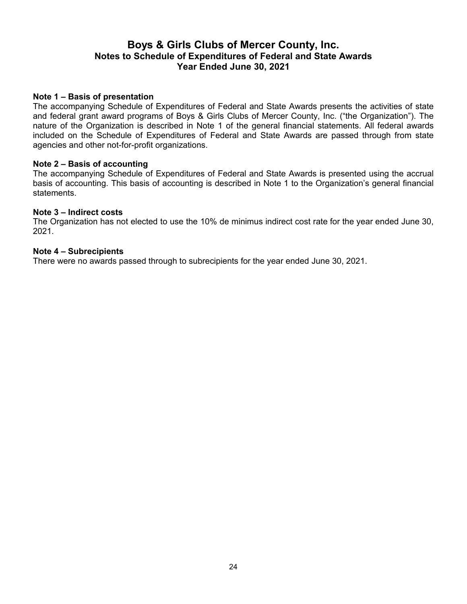## **Boys & Girls Clubs of Mercer County, Inc. Notes to Schedule of Expenditures of Federal and State Awards Year Ended June 30, 2021**

## **Note 1 – Basis of presentation**

The accompanying Schedule of Expenditures of Federal and State Awards presents the activities of state and federal grant award programs of Boys & Girls Clubs of Mercer County, Inc. ("the Organization"). The nature of the Organization is described in Note 1 of the general financial statements. All federal awards included on the Schedule of Expenditures of Federal and State Awards are passed through from state agencies and other not-for-profit organizations.

## **Note 2 – Basis of accounting**

The accompanying Schedule of Expenditures of Federal and State Awards is presented using the accrual basis of accounting. This basis of accounting is described in Note 1 to the Organization's general financial statements.

## **Note 3 – Indirect costs**

The Organization has not elected to use the 10% de minimus indirect cost rate for the year ended June 30, 2021.

## **Note 4 – Subrecipients**

There were no awards passed through to subrecipients for the year ended June 30, 2021.